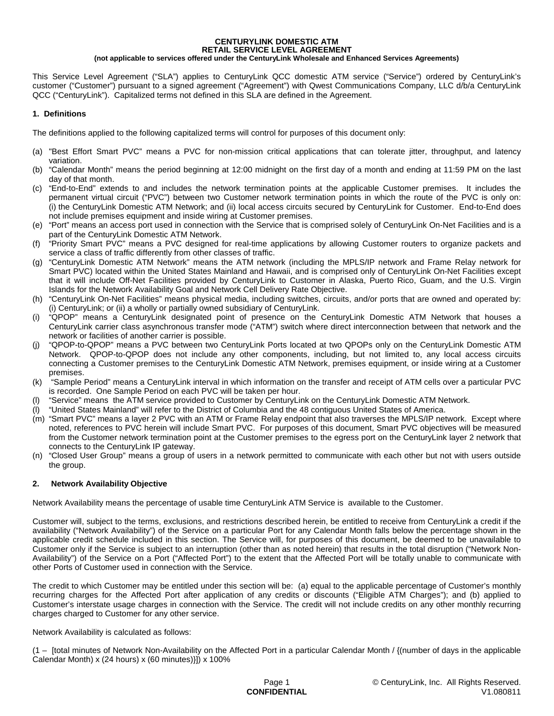#### **CENTURYLINK DOMESTIC ATM RETAIL SERVICE LEVEL AGREEMENT (not applicable to services offered under the CenturyLink Wholesale and Enhanced Services Agreements)**

This Service Level Agreement ("SLA") applies to CenturyLink QCC domestic ATM service ("Service") ordered by CenturyLink's customer ("Customer") pursuant to a signed agreement ("Agreement") with Qwest Communications Company, LLC d/b/a CenturyLink QCC ("CenturyLink"). Capitalized terms not defined in this SLA are defined in the Agreement.

# **1. Definitions**

The definitions applied to the following capitalized terms will control for purposes of this document only:

- (a) "Best Effort Smart PVC" means a PVC for non-mission critical applications that can tolerate jitter, throughput, and latency variation.
- (b) "Calendar Month" means the period beginning at 12:00 midnight on the first day of a month and ending at 11:59 PM on the last day of that month.
- (c) "End-to-End" extends to and includes the network termination points at the applicable Customer premises. It includes the permanent virtual circuit ("PVC") between two Customer network termination points in which the route of the PVC is only on: (i) the CenturyLink Domestic ATM Network; and (ii) local access circuits secured by CenturyLink for Customer. End-to-End does not include premises equipment and inside wiring at Customer premises.
- (e) "Port" means an access port used in connection with the Service that is comprised solely of CenturyLink On-Net Facilities and is a part of the CenturyLink Domestic ATM Network.
- (f) "Priority Smart PVC" means a PVC designed for real-time applications by allowing Customer routers to organize packets and service a class of traffic differently from other classes of traffic.
- (g) "CenturyLink Domestic ATM Network" means the ATM network (including the MPLS/IP network and Frame Relay network for Smart PVC) located within the United States Mainland and Hawaii, and is comprised only of CenturyLink On-Net Facilities except that it will include Off-Net Facilities provided by CenturyLink to Customer in Alaska, Puerto Rico, Guam, and the U.S. Virgin Islands for the Network Availability Goal and Network Cell Delivery Rate Objective.
- (h) "CenturyLink On-Net Facilities" means physical media, including switches, circuits, and/or ports that are owned and operated by: i) CenturyLink; or (ii) a wholly or partially owned subsidiary of CenturyLink.
- (i) "QPOP" means a CenturyLink designated point of presence on the CenturyLink Domestic ATM Network that houses a CenturyLink carrier class asynchronous transfer mode ("ATM") switch where direct interconnection between that network and the network or facilities of another carrier is possible.
- (j) "QPOP-to-QPOP" means a PVC between two CenturyLink Ports located at two QPOPs only on the CenturyLink Domestic ATM Network. QPOP-to-QPOP does not include any other components, including, but not limited to, any local access circuits connecting a Customer premises to the CenturyLink Domestic ATM Network, premises equipment, or inside wiring at a Customer premises.
- (k) "Sample Period" means a CenturyLink interval in which information on the transfer and receipt of ATM cells over a particular PVC is recorded. One Sample Period on each PVC will be taken per hour.
- "Service" means the ATM service provided to Customer by CenturyLink on the CenturyLink Domestic ATM Network.
- (l) "United States Mainland" will refer to the District of Columbia and the 48 contiguous United States of America.
- (m) "Smart PVC" means a layer 2 PVC with an ATM or Frame Relay endpoint that also traverses the MPLS/IP network. Except where noted, references to PVC herein will include Smart PVC. For purposes of this document, Smart PVC objectives will be measured from the Customer network termination point at the Customer premises to the egress port on the CenturyLink layer 2 network that connects to the CenturyLink IP gateway.
- (n) "Closed User Group" means a group of users in a network permitted to communicate with each other but not with users outside the group.

# **2. Network Availability Objective**

Network Availability means the percentage of usable time CenturyLink ATM Service is available to the Customer.

Customer will, subject to the terms, exclusions, and restrictions described herein, be entitled to receive from CenturyLink a credit if the availability ("Network Availability") of the Service on a particular Port for any Calendar Month falls below the percentage shown in the applicable credit schedule included in this section. The Service will, for purposes of this document, be deemed to be unavailable to Customer only if the Service is subject to an interruption (other than as noted herein) that results in the total disruption ("Network Non-Availability") of the Service on a Port ("Affected Port") to the extent that the Affected Port will be totally unable to communicate with other Ports of Customer used in connection with the Service.

The credit to which Customer may be entitled under this section will be: (a) equal to the applicable percentage of Customer's monthly recurring charges for the Affected Port after application of any credits or discounts ("Eligible ATM Charges"); and (b) applied to Customer's interstate usage charges in connection with the Service. The credit will not include credits on any other monthly recurring charges charged to Customer for any other service.

#### Network Availability is calculated as follows:

(1 – [total minutes of Network Non-Availability on the Affected Port in a particular Calendar Month / {(number of days in the applicable Calendar Month) x (24 hours) x (60 minutes)}]) x 100%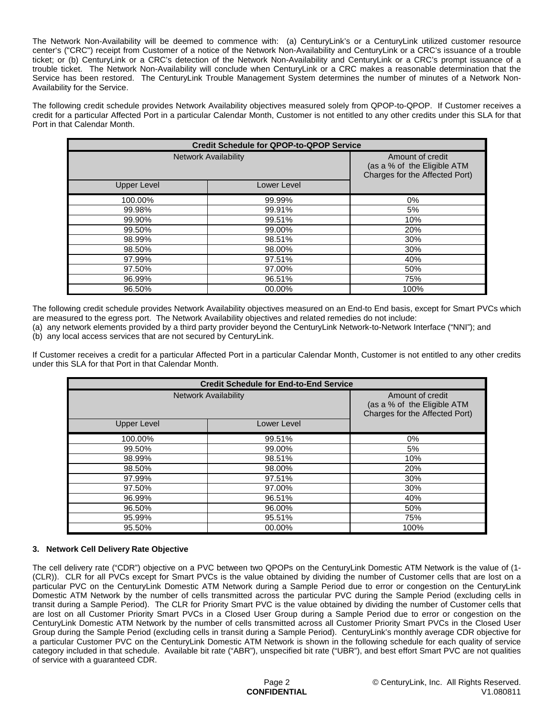The Network Non-Availability will be deemed to commence with: (a) CenturyLink's or a CenturyLink utilized customer resource center's ("CRC") receipt from Customer of a notice of the Network Non-Availability and CenturyLink or a CRC's issuance of a trouble ticket; or (b) CenturyLink or a CRC's detection of the Network Non-Availability and CenturyLink or a CRC's prompt issuance of a trouble ticket. The Network Non-Availability will conclude when CenturyLink or a CRC makes a reasonable determination that the Service has been restored. The CenturyLink Trouble Management System determines the number of minutes of a Network Non-Availability for the Service.

The following credit schedule provides Network Availability objectives measured solely from QPOP-to-QPOP. If Customer receives a credit for a particular Affected Port in a particular Calendar Month, Customer is not entitled to any other credits under this SLA for that Port in that Calendar Month.

| <b>Credit Schedule for QPOP-to-QPOP Service</b> |             |                                                                                   |
|-------------------------------------------------|-------------|-----------------------------------------------------------------------------------|
| <b>Network Availability</b>                     |             | Amount of credit<br>(as a % of the Eligible ATM<br>Charges for the Affected Port) |
| <b>Upper Level</b>                              | Lower Level |                                                                                   |
| 100.00%                                         | 99.99%      | 0%                                                                                |
| 99.98%                                          | 99.91%      | 5%                                                                                |
| 99.90%                                          | 99.51%      | 10%                                                                               |
| 99.50%                                          | 99.00%      | 20%                                                                               |
| 98.99%                                          | 98.51%      | 30%                                                                               |
| 98.50%                                          | 98.00%      | 30%                                                                               |
| 97.99%                                          | 97.51%      | 40%                                                                               |
| 97.50%                                          | 97.00%      | 50%                                                                               |
| 96.99%                                          | 96.51%      | 75%                                                                               |
| 96.50%                                          | 00.00%      | 100%                                                                              |

The following credit schedule provides Network Availability objectives measured on an End-to End basis, except for Smart PVCs which are measured to the egress port. The Network Availability objectives and related remedies do not include:

(a) any network elements provided by a third party provider beyond the CenturyLink Network-to-Network Interface ("NNI"); and (b) any local access services that are not secured by CenturyLink.

If Customer receives a credit for a particular Affected Port in a particular Calendar Month, Customer is not entitled to any other credits under this SLA for that Port in that Calendar Month.

| <b>Credit Schedule for End-to-End Service</b> |             |                                                                                   |
|-----------------------------------------------|-------------|-----------------------------------------------------------------------------------|
| <b>Network Availability</b>                   |             | Amount of credit<br>(as a % of the Eligible ATM<br>Charges for the Affected Port) |
| <b>Upper Level</b>                            | Lower Level |                                                                                   |
| 100.00%                                       | 99.51%      | $0\%$                                                                             |
| 99.50%                                        | 99.00%      | 5%                                                                                |
| 98.99%                                        | 98.51%      | 10%                                                                               |
| 98.50%                                        | 98.00%      | 20%                                                                               |
| 97.99%                                        | 97.51%      | 30%                                                                               |
| 97.50%                                        | 97.00%      | 30%                                                                               |
| 96.99%                                        | 96.51%      | 40%                                                                               |
| 96.50%                                        | 96.00%      | 50%                                                                               |
| 95.99%                                        | 95.51%      | 75%                                                                               |
| 95.50%                                        | 00.00%      | 100%                                                                              |

# **3. Network Cell Delivery Rate Objective**

The cell delivery rate ("CDR") objective on a PVC between two QPOPs on the CenturyLink Domestic ATM Network is the value of (1- (CLR)). CLR for all PVCs except for Smart PVCs is the value obtained by dividing the number of Customer cells that are lost on a particular PVC on the CenturyLink Domestic ATM Network during a Sample Period due to error or congestion on the CenturyLink Domestic ATM Network by the number of cells transmitted across the particular PVC during the Sample Period (excluding cells in transit during a Sample Period). The CLR for Priority Smart PVC is the value obtained by dividing the number of Customer cells that are lost on all Customer Priority Smart PVCs in a Closed User Group during a Sample Period due to error or congestion on the CenturyLink Domestic ATM Network by the number of cells transmitted across all Customer Priority Smart PVCs in the Closed User Group during the Sample Period (excluding cells in transit during a Sample Period). CenturyLink's monthly average CDR objective for a particular Customer PVC on the CenturyLink Domestic ATM Network is shown in the following schedule for each quality of service category included in that schedule. Available bit rate ("ABR"), unspecified bit rate ("UBR"), and best effort Smart PVC are not qualities of service with a guaranteed CDR.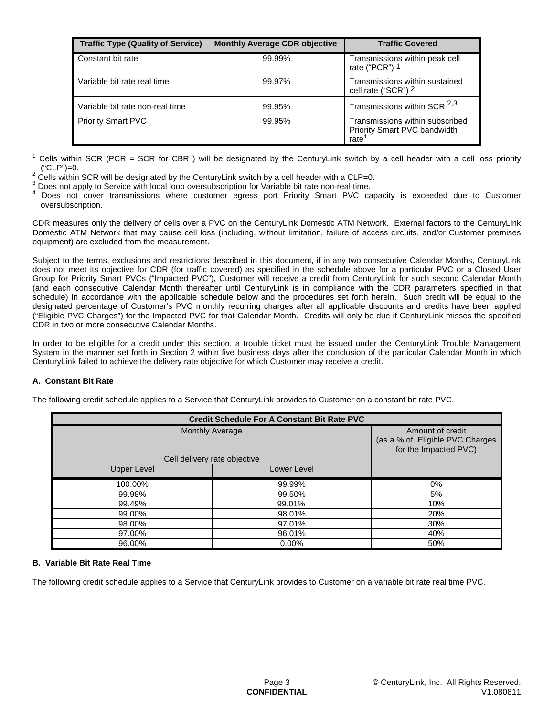| <b>Traffic Type (Quality of Service)</b> | <b>Monthly Average CDR objective</b> | <b>Traffic Covered</b>                                                               |
|------------------------------------------|--------------------------------------|--------------------------------------------------------------------------------------|
| Constant bit rate                        | 99.99%                               | Transmissions within peak cell<br>rate ("PCR") 1                                     |
| Variable bit rate real time              | 99.97%                               | Transmissions within sustained<br>cell rate ("SCR") 2                                |
| Variable bit rate non-real time          | 99.95%                               | Transmissions within SCR $^{2,3}$                                                    |
| <b>Priority Smart PVC</b>                | 99.95%                               | Transmissions within subscribed<br>Priority Smart PVC bandwidth<br>rate <sup>4</sup> |

 $1$  Cells within SCR (PCR = SCR for CBR) will be designated by the CenturyLink switch by a cell header with a cell loss priority ("CLP")=0.

 $2$  Cells within SCR will be designated by the CenturyLink switch by a cell header with a CLP=0.

<sup>3</sup> Does not apply to Service with local loop oversubscription for Variable bit rate non-real time.

Does not cover transmissions where customer egress port Priority Smart PVC capacity is exceeded due to Customer oversubscription.

CDR measures only the delivery of cells over a PVC on the CenturyLink Domestic ATM Network. External factors to the CenturyLink Domestic ATM Network that may cause cell loss (including, without limitation, failure of access circuits, and/or Customer premises equipment) are excluded from the measurement.

Subject to the terms, exclusions and restrictions described in this document, if in any two consecutive Calendar Months, CenturyLink does not meet its objective for CDR (for traffic covered) as specified in the schedule above for a particular PVC or a Closed User Group for Priority Smart PVCs ("Impacted PVC"), Customer will receive a credit from CenturyLink for such second Calendar Month (and each consecutive Calendar Month thereafter until CenturyLink is in compliance with the CDR parameters specified in that schedule) in accordance with the applicable schedule below and the procedures set forth herein. Such credit will be equal to the designated percentage of Customer's PVC monthly recurring charges after all applicable discounts and credits have been applied ("Eligible PVC Charges") for the Impacted PVC for that Calendar Month. Credits will only be due if CenturyLink misses the specified CDR in two or more consecutive Calendar Months.

In order to be eligible for a credit under this section, a trouble ticket must be issued under the CenturyLink Trouble Management System in the manner set forth in Section 2 within five business days after the conclusion of the particular Calendar Month in which CenturyLink failed to achieve the delivery rate objective for which Customer may receive a credit.

# **A. Constant Bit Rate**

The following credit schedule applies to a Service that CenturyLink provides to Customer on a constant bit rate PVC.

| <b>Credit Schedule For A Constant Bit Rate PVC</b> |             |                                                                              |
|----------------------------------------------------|-------------|------------------------------------------------------------------------------|
| <b>Monthly Average</b>                             |             | Amount of credit<br>(as a % of Eligible PVC Charges<br>for the Impacted PVC) |
| Cell delivery rate objective                       |             |                                                                              |
| Upper Level                                        | Lower Level |                                                                              |
| 100.00%                                            | 99.99%      | 0%                                                                           |
| 99.98%                                             | 99.50%      | 5%                                                                           |
| 99.49%                                             | 99.01%      | 10%                                                                          |
| 99.00%                                             | 98.01%      | 20%                                                                          |
| 98.00%                                             | 97.01%      | 30%                                                                          |
| 97.00%                                             | 96.01%      | 40%                                                                          |
| 96.00%                                             | 0.00%       | 50%                                                                          |

#### **B. Variable Bit Rate Real Time**

The following credit schedule applies to a Service that CenturyLink provides to Customer on a variable bit rate real time PVC.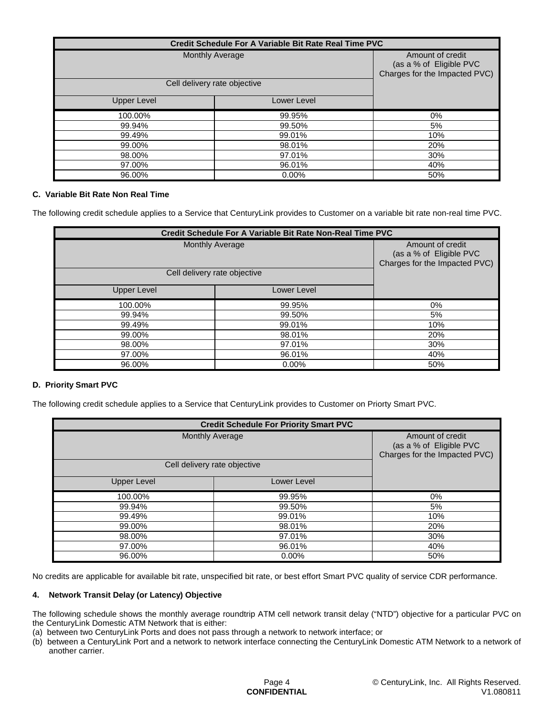| Credit Schedule For A Variable Bit Rate Real Time PVC |             |                                                                              |
|-------------------------------------------------------|-------------|------------------------------------------------------------------------------|
| <b>Monthly Average</b>                                |             | Amount of credit<br>(as a % of Eligible PVC<br>Charges for the Impacted PVC) |
| Cell delivery rate objective                          |             |                                                                              |
| Upper Level                                           | Lower Level |                                                                              |
| 100.00%                                               | 99.95%      | 0%                                                                           |
| 99.94%                                                | 99.50%      | 5%                                                                           |
| 99.49%                                                | 99.01%      | 10%                                                                          |
| 99.00%                                                | 98.01%      | 20%                                                                          |
| 98.00%                                                | 97.01%      | 30%                                                                          |
| 97.00%                                                | 96.01%      | 40%                                                                          |
| 96.00%                                                | $0.00\%$    | 50%                                                                          |

## **C. Variable Bit Rate Non Real Time**

The following credit schedule applies to a Service that CenturyLink provides to Customer on a variable bit rate non-real time PVC.

| Credit Schedule For A Variable Bit Rate Non-Real Time PVC |                        |                                                                              |
|-----------------------------------------------------------|------------------------|------------------------------------------------------------------------------|
|                                                           | <b>Monthly Average</b> | Amount of credit<br>(as a % of Eligible PVC<br>Charges for the Impacted PVC) |
| Cell delivery rate objective                              |                        |                                                                              |
| <b>Upper Level</b>                                        | Lower Level            |                                                                              |
| 100.00%                                                   | 99.95%                 | $0\%$                                                                        |
| 99.94%                                                    | 99.50%                 | 5%                                                                           |
| 99.49%                                                    | 99.01%                 | 10%                                                                          |
| 99.00%                                                    | 98.01%                 | 20%                                                                          |
| 98.00%                                                    | 97.01%                 | 30%                                                                          |
| 97.00%                                                    | 96.01%                 | 40%                                                                          |
| 96.00%                                                    | 0.00%                  | 50%                                                                          |

# **D. Priority Smart PVC**

The following credit schedule applies to a Service that CenturyLink provides to Customer on Priorty Smart PVC.

| <b>Credit Schedule For Priority Smart PVC</b> |             |                                                                              |
|-----------------------------------------------|-------------|------------------------------------------------------------------------------|
| <b>Monthly Average</b>                        |             | Amount of credit<br>(as a % of Eligible PVC<br>Charges for the Impacted PVC) |
| Cell delivery rate objective                  |             |                                                                              |
| <b>Upper Level</b>                            | Lower Level |                                                                              |
| 100.00%                                       | 99.95%      | $0\%$                                                                        |
| 99.94%                                        | 99.50%      | 5%                                                                           |
| 99.49%                                        | 99.01%      | 10%                                                                          |
| 99.00%                                        | 98.01%      | 20%                                                                          |
| 98.00%                                        | 97.01%      | 30%                                                                          |
| 97.00%                                        | 96.01%      | 40%                                                                          |
| 96.00%                                        | 0.00%       | 50%                                                                          |

No credits are applicable for available bit rate, unspecified bit rate, or best effort Smart PVC quality of service CDR performance.

#### **4. Network Transit Delay (or Latency) Objective**

The following schedule shows the monthly average roundtrip ATM cell network transit delay ("NTD") objective for a particular PVC on the CenturyLink Domestic ATM Network that is either:

- (a) between two CenturyLink Ports and does not pass through a network to network interface; or
- (b) between a CenturyLink Port and a network to network interface connecting the CenturyLink Domestic ATM Network to a network of another carrier.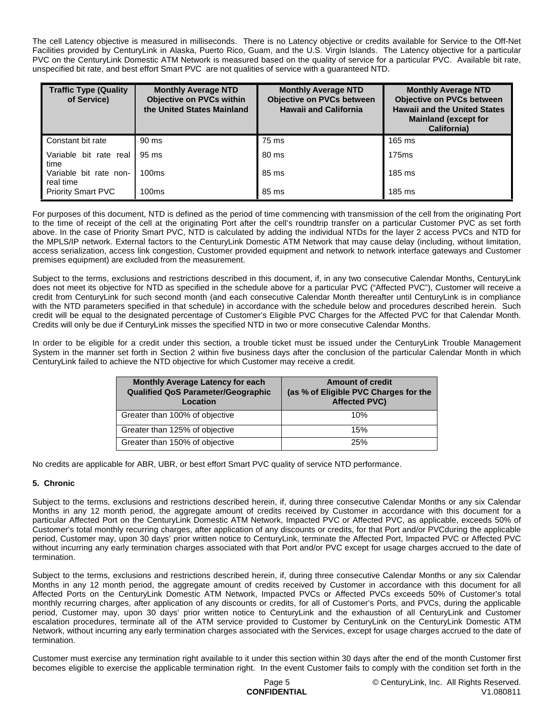The cell Latency objective is measured in milliseconds. There is no Latency objective or credits available for Service to the Off-Net Facilities provided by CenturyLink in Alaska, Puerto Rico, Guam, and the U.S. Virgin Islands. The Latency objective for a particular PVC on the CenturyLink Domestic ATM Network is measured based on the quality of service for a particular PVC. Available bit rate, unspecified bit rate, and best effort Smart PVC are not qualities of service with a guaranteed NTD.

| <b>Traffic Type (Quality</b><br>of Service) | <b>Monthly Average NTD</b><br><b>Objective on PVCs within</b><br>the United States Mainland | <b>Monthly Average NTD</b><br><b>Objective on PVCs between</b><br><b>Hawaii and California</b> | <b>Monthly Average NTD</b><br><b>Objective on PVCs between</b><br><b>Hawaii and the United States</b><br><b>Mainland (except for</b><br>California) |
|---------------------------------------------|---------------------------------------------------------------------------------------------|------------------------------------------------------------------------------------------------|-----------------------------------------------------------------------------------------------------------------------------------------------------|
| Constant bit rate                           | 90 ms                                                                                       | 75 ms                                                                                          | 165 ms                                                                                                                                              |
| Variable bit rate real<br>time              | 95 ms                                                                                       | 80 ms                                                                                          | 175 <sub>ms</sub>                                                                                                                                   |
| Variable bit rate non-<br>real time         | 100ms                                                                                       | 85 ms                                                                                          | 185 ms                                                                                                                                              |
| <b>Priority Smart PVC</b>                   | 100 <sub>ms</sub>                                                                           | 85 ms                                                                                          | 185 ms                                                                                                                                              |

For purposes of this document, NTD is defined as the period of time commencing with transmission of the cell from the originating Port to the time of receipt of the cell at the originating Port after the cell's roundtrip transfer on a particular Customer PVC as set forth above. In the case of Priority Smart PVC, NTD is calculated by adding the individual NTDs for the layer 2 access PVCs and NTD for the MPLS/IP network. External factors to the CenturyLink Domestic ATM Network that may cause delay (including, without limitation, access serialization, access link congestion, Customer provided equipment and network to network interface gateways and Customer premises equipment) are excluded from the measurement.

Subject to the terms, exclusions and restrictions described in this document, if, in any two consecutive Calendar Months, CenturyLink does not meet its objective for NTD as specified in the schedule above for a particular PVC ("Affected PVC"), Customer will receive a credit from CenturyLink for such second month (and each consecutive Calendar Month thereafter until CenturyLink is in compliance with the NTD parameters specified in that schedule) in accordance with the schedule below and procedures described herein. Such credit will be equal to the designated percentage of Customer's Eligible PVC Charges for the Affected PVC for that Calendar Month. Credits will only be due if CenturyLink misses the specified NTD in two or more consecutive Calendar Months.

In order to be eligible for a credit under this section, a trouble ticket must be issued under the CenturyLink Trouble Management System in the manner set forth in Section 2 within five business days after the conclusion of the particular Calendar Month in which CenturyLink failed to achieve the NTD objective for which Customer may receive a credit.

| <b>Monthly Average Latency for each</b><br>Qualified QoS Parameter/Geographic<br>Location | <b>Amount of credit</b><br>(as % of Eligible PVC Charges for the<br><b>Affected PVC)</b> |
|-------------------------------------------------------------------------------------------|------------------------------------------------------------------------------------------|
| Greater than 100% of objective                                                            | 10%                                                                                      |
| Greater than 125% of objective                                                            | 15%                                                                                      |
| Greater than 150% of objective                                                            | 25%                                                                                      |

No credits are applicable for ABR, UBR, or best effort Smart PVC quality of service NTD performance.

# **5. Chronic**

Subject to the terms, exclusions and restrictions described herein, if, during three consecutive Calendar Months or any six Calendar Months in any 12 month period, the aggregate amount of credits received by Customer in accordance with this document for a particular Affected Port on the CenturyLink Domestic ATM Network, Impacted PVC or Affected PVC, as applicable, exceeds 50% of Customer's total monthly recurring charges, after application of any discounts or credits, for that Port and/or PVCduring the applicable period, Customer may, upon 30 days' prior written notice to CenturyLink, terminate the Affected Port, Impacted PVC or Affected PVC without incurring any early termination charges associated with that Port and/or PVC except for usage charges accrued to the date of termination.

Subject to the terms, exclusions and restrictions described herein, if, during three consecutive Calendar Months or any six Calendar Months in any 12 month period, the aggregate amount of credits received by Customer in accordance with this document for all Affected Ports on the CenturyLink Domestic ATM Network, Impacted PVCs or Affected PVCs exceeds 50% of Customer's total monthly recurring charges, after application of any discounts or credits, for all of Customer's Ports, and PVCs, during the applicable period, Customer may, upon 30 days' prior written notice to CenturyLink and the exhaustion of all CenturyLink and Customer escalation procedures, terminate all of the ATM service provided to Customer by CenturyLink on the CenturyLink Domestic ATM Network, without incurring any early termination charges associated with the Services, except for usage charges accrued to the date of termination.

Customer must exercise any termination right available to it under this section within 30 days after the end of the month Customer first becomes eligible to exercise the applicable termination right. In the event Customer fails to comply with the condition set forth in the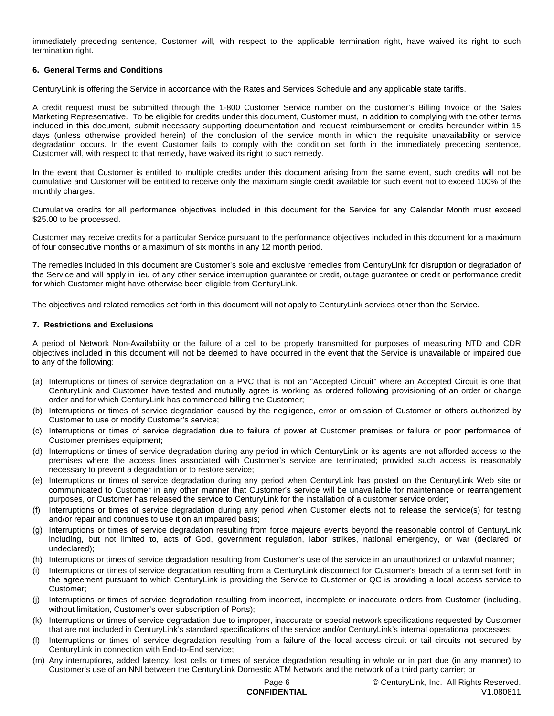immediately preceding sentence, Customer will, with respect to the applicable termination right, have waived its right to such termination right.

## **6. General Terms and Conditions**

CenturyLink is offering the Service in accordance with the Rates and Services Schedule and any applicable state tariffs.

A credit request must be submitted through the 1-800 Customer Service number on the customer's Billing Invoice or the Sales Marketing Representative. To be eligible for credits under this document, Customer must, in addition to complying with the other terms included in this document, submit necessary supporting documentation and request reimbursement or credits hereunder within 15 days (unless otherwise provided herein) of the conclusion of the service month in which the requisite unavailability or service degradation occurs. In the event Customer fails to comply with the condition set forth in the immediately preceding sentence, Customer will, with respect to that remedy, have waived its right to such remedy.

In the event that Customer is entitled to multiple credits under this document arising from the same event, such credits will not be cumulative and Customer will be entitled to receive only the maximum single credit available for such event not to exceed 100% of the monthly charges.

Cumulative credits for all performance objectives included in this document for the Service for any Calendar Month must exceed \$25.00 to be processed.

Customer may receive credits for a particular Service pursuant to the performance objectives included in this document for a maximum of four consecutive months or a maximum of six months in any 12 month period.

The remedies included in this document are Customer's sole and exclusive remedies from CenturyLink for disruption or degradation of the Service and will apply in lieu of any other service interruption guarantee or credit, outage guarantee or credit or performance credit for which Customer might have otherwise been eligible from CenturyLink.

The objectives and related remedies set forth in this document will not apply to CenturyLink services other than the Service.

#### **7. Restrictions and Exclusions**

A period of Network Non-Availability or the failure of a cell to be properly transmitted for purposes of measuring NTD and CDR objectives included in this document will not be deemed to have occurred in the event that the Service is unavailable or impaired due to any of the following:

- (a) Interruptions or times of service degradation on a PVC that is not an "Accepted Circuit" where an Accepted Circuit is one that CenturyLink and Customer have tested and mutually agree is working as ordered following provisioning of an order or change order and for which CenturyLink has commenced billing the Customer;
- (b) Interruptions or times of service degradation caused by the negligence, error or omission of Customer or others authorized by Customer to use or modify Customer's service;
- (c) Interruptions or times of service degradation due to failure of power at Customer premises or failure or poor performance of Customer premises equipment;
- (d) Interruptions or times of service degradation during any period in which CenturyLink or its agents are not afforded access to the premises where the access lines associated with Customer's service are terminated; provided such access is reasonably necessary to prevent a degradation or to restore service;
- (e) Interruptions or times of service degradation during any period when CenturyLink has posted on the CenturyLink Web site or communicated to Customer in any other manner that Customer's service will be unavailable for maintenance or rearrangement purposes, or Customer has released the service to CenturyLink for the installation of a customer service order;
- (f) Interruptions or times of service degradation during any period when Customer elects not to release the service(s) for testing and/or repair and continues to use it on an impaired basis;
- (g) Interruptions or times of service degradation resulting from force majeure events beyond the reasonable control of CenturyLink including, but not limited to, acts of God, government regulation, labor strikes, national emergency, or war (declared or undeclared);
- (h) Interruptions or times of service degradation resulting from Customer's use of the service in an unauthorized or unlawful manner;
- (i) Interruptions or times of service degradation resulting from a CenturyLink disconnect for Customer's breach of a term set forth in the agreement pursuant to which CenturyLink is providing the Service to Customer or QC is providing a local access service to Customer;
- (j) Interruptions or times of service degradation resulting from incorrect, incomplete or inaccurate orders from Customer (including, without limitation, Customer's over subscription of Ports);
- (k) Interruptions or times of service degradation due to improper, inaccurate or special network specifications requested by Customer that are not included in CenturyLink's standard specifications of the service and/or CenturyLink's internal operational processes;
- (l) Interruptions or times of service degradation resulting from a failure of the local access circuit or tail circuits not secured by CenturyLink in connection with End-to-End service;
- (m) Any interruptions, added latency, lost cells or times of service degradation resulting in whole or in part due (in any manner) to Customer's use of an NNI between the CenturyLink Domestic ATM Network and the network of a third party carrier; or